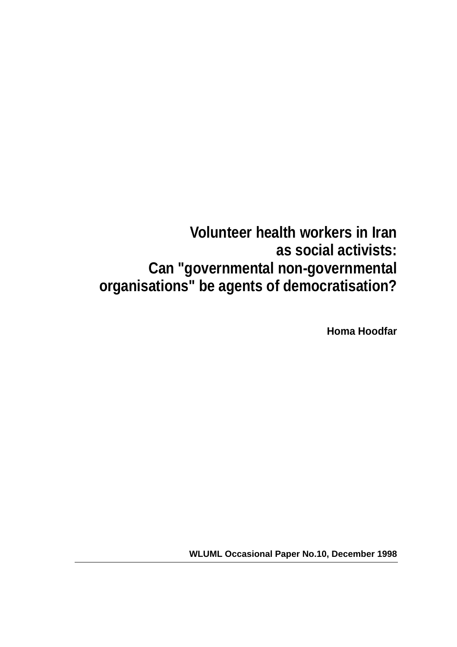# **Volunteer health workers in Iran as social activists: Can "governmental non-governmental organisations" be agents of democratisation?**

**Homa Hoodfar**

**WLUML Occasional Paper No.10, December 1998**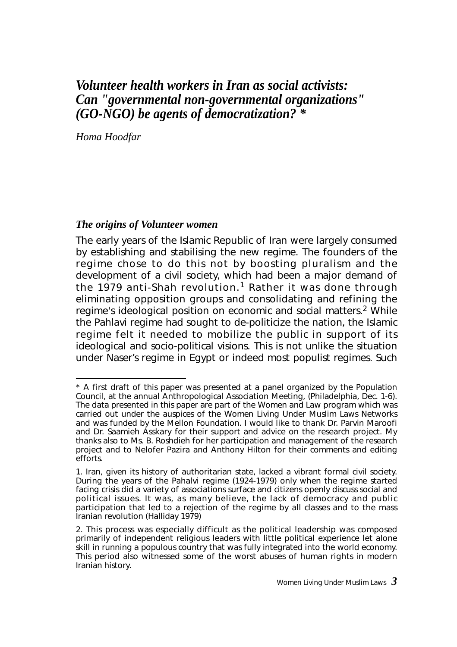# *Volunteer health workers in Iran as social activists: Can "governmental non-governmental organizations" (GO-NGO) be agents of democratization? \**

*Homa Hoodfar*

#### *The origins of Volunteer women*

The early years of the Islamic Republic of Iran were largely consumed by establishing and stabilising the new regime. The founders of the regime chose to do this not by boosting pluralism and the development of a civil society, which had been a major demand of the 1979 anti-Shah revolution.<sup>1</sup> Rather it was done through eliminating opposition groups and consolidating and refining the regime's ideological position on economic and social matters.<sup>2</sup> While the Pahlavi regime had sought to de-politicize the nation, the Islamic regime felt it needed to mobilize the public in support of its ideological and socio-political visions. This is not unlike the situation under Naser's regime in Egypt or indeed most populist regimes. Such

<sup>\*</sup> A first draft of this paper was presented at a panel organized by the Population Council, at the annual Anthropological Association Meeting, (Philadelphia, Dec. 1-6). The data presented in this paper are part of the Women and Law program which was carried out under the auspices of the Women Living Under Muslim Laws Networks and was funded by the Mellon Foundation. I would like to thank Dr. Parvin Maroofi and Dr. Saamieh Asskary for their support and advice on the research project. My thanks also to Ms. B. Roshdieh for her participation and management of the research project and to Nelofer Pazira and Anthony Hilton for their comments and editing efforts.

<sup>1.</sup> Iran, given its history of authoritarian state, lacked a vibrant formal civil society. During the years of the Pahalvi regime (1924-1979) only when the regime started facing crisis did a variety of associations surface and citizens openly discuss social and political issues. It was, as many believe, the lack of democracy and public participation that led to a rejection of the regime by all classes and to the mass Iranian revolution (Halliday 1979)

<sup>2.</sup> This process was especially difficult as the political leadership was composed primarily of independent religious leaders with little political experience let alone skill in running a populous country that was fully integrated into the world economy. This period also witnessed some of the worst abuses of human rights in modern Iranian history.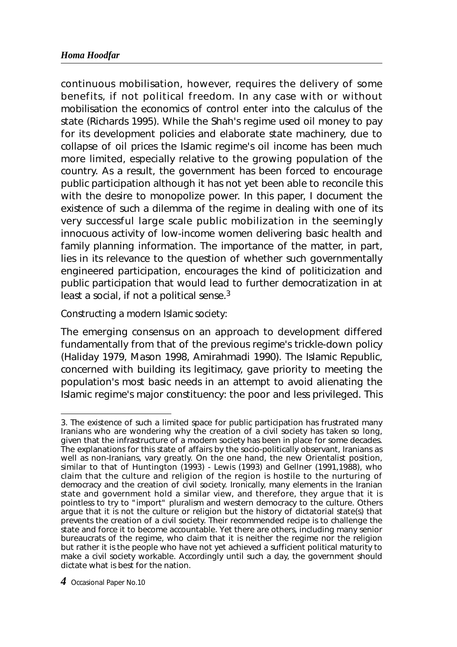continuous mobilisation, however, requires the delivery of some benefits, if not political freedom. In any case with or without mobilisation the economics of control enter into the calculus of the state (Richards 1995). While the Shah's regime used oil money to pay for its development policies and elaborate state machinery, due to collapse of oil prices the Islamic regime's oil income has been much more limited, especially relative to the growing population of the country. As a result, the government has been forced to encourage public participation although it has not yet been able to reconcile this with the desire to monopolize power. In this paper, I document the existence of such a dilemma of the regime in dealing with one of its very successful large scale public mobilization in the seemingly innocuous activity of low-income women delivering basic health and family planning information. The importance of the matter, in part, lies in its relevance to the question of whether such governmentally engineered participation, encourages the kind of politicization and public participation that would lead to further democratization in at least a social, if not a political sense. $3$ 

### *Constructing a modern Islamic society:*

The emerging consensus on an approach to development differed fundamentally from that of the previous regime's trickle-down policy (Haliday 1979, Mason 1998, Amirahmadi 1990). The Islamic Republic, concerned with building its legitimacy, gave priority to meeting the population's most basic needs in an attempt to avoid alienating the Islamic regime's major constituency: the poor and less privileged. This

<sup>3.</sup> The existence of such a limited space for public participation has frustrated many Iranians who are wondering why the creation of a civil society has taken so long, given that the infrastructure of a modern society has been in place for some decades. The explanations for this state of affairs by the socio-politically observant, Iranians as well as non-Iranians, vary greatly. On the one hand, the new Orientalist position, similar to that of Huntington (1993) - Lewis (1993) and Gellner (1991,1988), who claim that the culture and religion of the region is hostile to the nurturing of democracy and the creation of civil society. Ironically, many elements in the Iranian state and government hold a similar view, and therefore, they argue that it is pointless to try to "import" pluralism and western democracy to the culture. Others argue that it is not the culture or religion but the history of dictatorial state(s) that prevents the creation of a civil society. Their recommended recipe is to challenge the state and force it to become accountable. Yet there are others, including many senior bureaucrats of the regime, who claim that it is neither the regime nor the religion but rather it is the people who have not yet achieved a sufficient political maturity to make a civil society workable. Accordingly until such a day, the government should dictate what is best for the nation.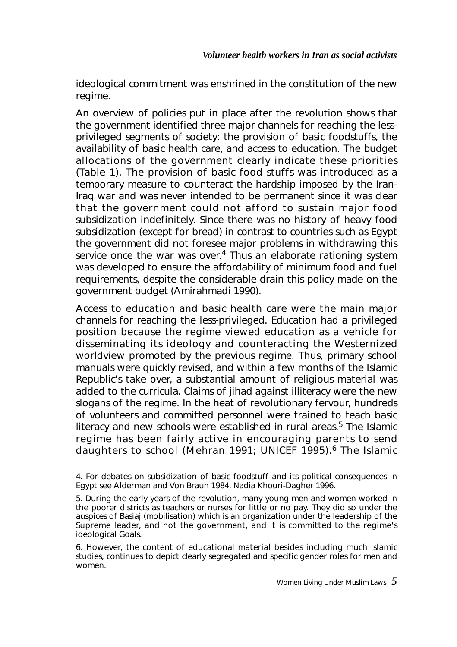ideological commitment was enshrined in the constitution of the new regime.

An overview of policies put in place after the revolution shows that the government identified three major channels for reaching the lessprivileged segments of society: the provision of basic foodstuffs, the availability of basic health care, and access to education. The budget allocations of the government clearly indicate these priorities (Table 1). The provision of basic food stuffs was introduced as a temporary measure to counteract the hardship imposed by the Iran-Iraq war and was never intended to be permanent since it was clear that the government could not afford to sustain major food subsidization indefinitely. Since there was no history of heavy food subsidization (except for bread) in contrast to countries such as Egypt the government did not foresee major problems in withdrawing this service once the war was over.<sup>4</sup> Thus an elaborate rationing system was developed to ensure the affordability of minimum food and fuel requirements, despite the considerable drain this policy made on the government budget (Amirahmadi 1990).

Access to education and basic health care were the main major channels for reaching the less-privileged. Education had a privileged position because the regime viewed education as a vehicle for disseminating its ideology and counteracting the Westernized worldview promoted by the previous regime. Thus, primary school manuals were quickly revised, and within a few months of the Islamic Republic's take over, a substantial amount of religious material was added to the curricula. Claims of iihad against illiteracy were the new slogans of the regime. In the heat of revolutionary fervour, hundreds of volunteers and committed personnel were trained to teach basic literacy and new schools were established in rural areas.<sup>5</sup> The Islamic regime has been fairly active in encouraging parents to send daughters to school (Mehran 1991; UNICEF 1995).<sup>6</sup> The Islamic

<sup>4.</sup> For debates on subsidization of basic foodstuff and its political consequences in Egypt see Alderman and Von Braun 1984, Nadia Khouri-Dagher 1996.

<sup>5.</sup> During the early years of the revolution, many young men and women worked in the poorer districts as teachers or nurses for little or no pay. They did so under the auspices of Basiaj (mobilisation) which is an organization under the leadership of the Supreme leader, and not the government, and it is committed to the regime's ideological Goals.

<sup>6.</sup> However, the content of educational material besides including much Islamic studies, continues to depict clearly segregated and specific gender roles for men and women.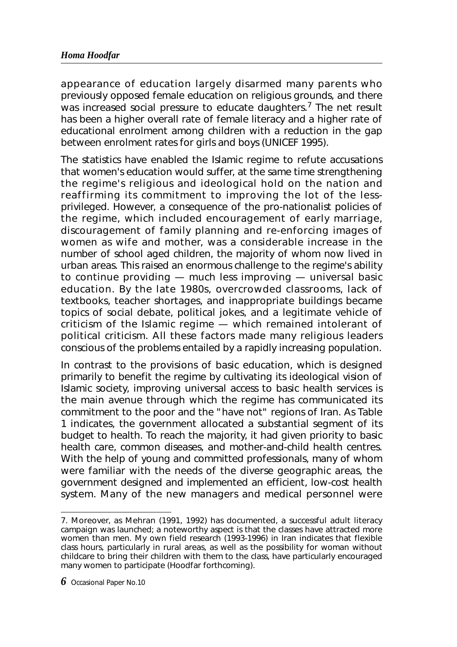appearance of education largely disarmed many parents who previously opposed female education on religious grounds, and there was increased social pressure to educate daughters.<sup>7</sup> The net result has been a higher overall rate of female literacy and a higher rate of educational enrolment among children with a reduction in the gap between enrolment rates for girls and boys (UNICEF 1995).

The statistics have enabled the Islamic regime to refute accusations that women's education would suffer, at the same time strengthening the regime's religious and ideological hold on the nation and reaffirming its commitment to improving the lot of the lessprivileged. However, a consequence of the pro-nationalist policies of the regime, which included encouragement of early marriage, discouragement of family planning and re-enforcing images of women as wife and mother, was a considerable increase in the number of school aged children, the majority of whom now lived in urban areas. This raised an enormous challenge to the regime's ability to continue providing — much less improving — universal basic education. By the late 1980s, overcrowded classrooms, lack of textbooks, teacher shortages, and inappropriate buildings became topics of social debate, political jokes, and a legitimate vehicle of criticism of the Islamic regime — which remained intolerant of political criticism. All these factors made many religious leaders conscious of the problems entailed by a rapidly increasing population.

In contrast to the provisions of basic education, which is designed primarily to benefit the regime by cultivating its ideological vision of Islamic society, improving universal access to basic health services is the main avenue through which the regime has communicated its commitment to the poor and the "have not" regions of Iran. As Table 1 indicates, the government allocated a substantial segment of its budget to health. To reach the majority, it had given priority to basic health care, common diseases, and mother-and-child health centres. With the help of young and committed professionals, many of whom were familiar with the needs of the diverse geographic areas, the government designed and implemented an efficient, low-cost health system. Many of the new managers and medical personnel were

<sup>7.</sup> Moreover, as Mehran (1991, 1992) has documented, a successful adult literacy campaign was launched; a noteworthy aspect is that the classes have attracted more women than men. My own field research (1993-1996) in Iran indicates that flexible class hours, particularly in rural areas, as well as the possibility for woman without childcare to bring their children with them to the class, have particularly encouraged many women to participate (Hoodfar forthcoming).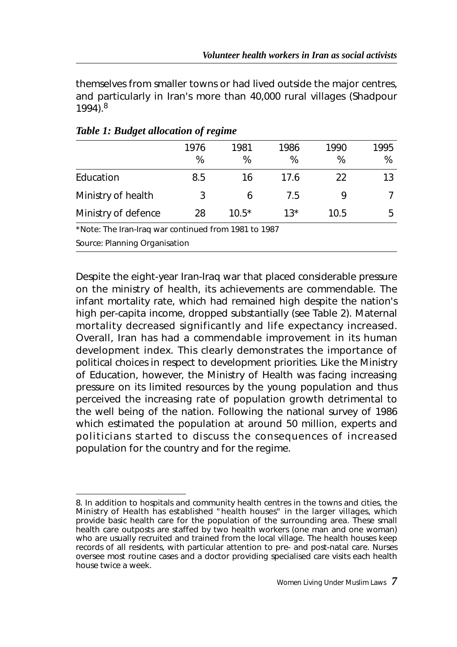themselves from smaller towns or had lived outside the major centres, and particularly in Iran's more than 40,000 rural villages (Shadpour 1994).<sup>8</sup>

| ີ                   |      | . .     |       |      |      |
|---------------------|------|---------|-------|------|------|
|                     | 1976 | 1981    | 1986  | 1990 | 1995 |
|                     | %    | %       | %     | %    | %    |
| Education           | 8.5  | 16      | 17.6  | 22   | 13   |
| Ministry of health  | 3    | h       | 7.5   |      |      |
| Ministry of defence | 28   | $10.5*$ | $13*$ | 10.5 | 5    |
|                     |      |         |       |      |      |

### *Table 1: Budget allocation of regime*

\*Note: The Iran-Iraq war continued from 1981 to 1987

Source: Planning Organisation

Despite the eight-year Iran-Iraq war that placed considerable pressure on the ministry of health, its achievements are commendable. The infant mortality rate, which had remained high despite the nation's high per-capita income, dropped substantially (see Table 2). Maternal mortality decreased significantly and life expectancy increased. Overall, Iran has had a commendable improvement in its human development index. This clearly demonstrates the importance of political choices in respect to development priorities. Like the Ministry of Education, however, the Ministry of Health was facing increasing pressure on its limited resources by the young population and thus perceived the increasing rate of population growth detrimental to the well being of the nation. Following the national survey of 1986 which estimated the population at around 50 million, experts and politicians started to discuss the consequences of increased population for the country and for the regime.

<sup>8.</sup> In addition to hospitals and community health centres in the towns and cities, the Ministry of Health has established "health houses" in the larger villages, which provide basic health care for the population of the surrounding area. These small health care outposts are staffed by two health workers (one man and one woman) who are usually recruited and trained from the local village. The health houses keep records of all residents, with particular attention to pre- and post-natal care. Nurses oversee most routine cases and a doctor providing specialised care visits each health house twice a week.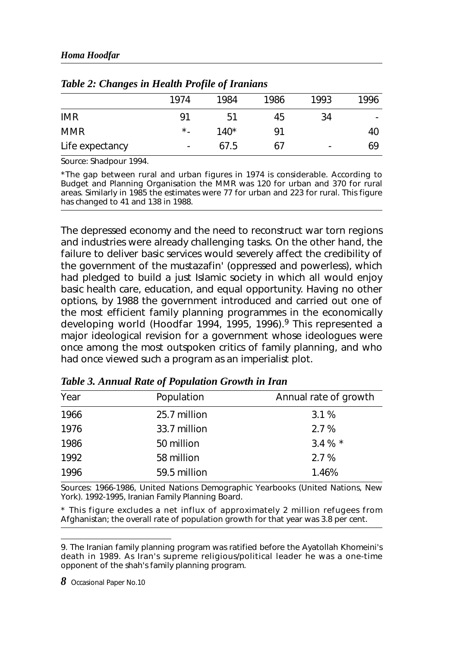| ັ               |           | $\cdot$<br>$\cdot$ |      |      |      |
|-----------------|-----------|--------------------|------|------|------|
|                 | 1974      | 1984               | 1986 | 1993 | 1996 |
| <b>IMR</b>      | 91        | 51                 | 45   | 34   | ۰.   |
| <b>MMR</b>      | $\star$ . | $140*$             | 91   |      | 40   |
| Life expectancy | ۰         | 67.5               | 67   | ٠    | 69   |

*Table 2: Changes in Health Profile of Iranians*

Source: Shadpour 1994.

\*The gap between rural and urban figures in 1974 is considerable. According to Budget and Planning Organisation the MMR was 120 for urban and 370 for rural areas. Similarly in 1985 the estimates were 77 for urban and 223 for rural. This figure has changed to 41 and 138 in 1988.

The depressed economy and the need to reconstruct war torn regions and industries were already challenging tasks. On the other hand, the failure to deliver basic services would severely affect the credibility of the government of the *mustazafin*' (oppressed and powerless), which had pledged to build a just Islamic society in which all would enjoy basic health care, education, and equal opportunity. Having no other options, by 1988 the government introduced and carried out one of the most efficient family planning programmes in the economically developing world (Hoodfar 1994, 1995, 1996).<sup>9</sup> This represented a major ideological revision for a government whose ideologues were once among the most outspoken critics of family planning, and who had once viewed such a program as an imperialist plot.

| Year | Population   | Annual rate of growth |
|------|--------------|-----------------------|
| 1966 | 25.7 million | 3.1%                  |
| 1976 | 33.7 million | 2.7%                  |
| 1986 | 50 million   | 3.4 $%$ *             |
| 1992 | 58 million   | 2.7%                  |
| 1996 | 59.5 million | 1.46%                 |

*Table 3. Annual Rate of Population Growth in Iran*

Sources: 1966-1986, *United Nations Demographic Yearbooks* (United Nations, New York). 1992-1995, Iranian Family Planning Board.

\* This figure excludes a net influx of approximately 2 million refugees from Afghanistan; the overall rate of population growth for that year was 3.8 per cent.

9. The Iranian family planning program was ratified before the Ayatollah Khomeini's death in 1989. As Iran's supreme religious/political leader he was a one-time opponent of the shah's family planning program.

*8* Occasional Paper No.10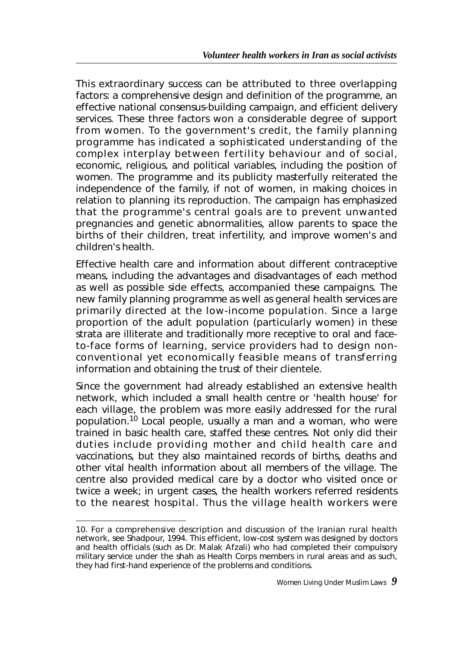This extraordinary success can be attributed to three overlapping factors: a comprehensive design and definition of the programme, an effective national consensus-building campaign, and efficient delivery services. These three factors won a considerable degree of support from women. To the government's credit, the family planning programme has indicated a sophisticated understanding of the complex interplay between fertility behaviour and of social, economic, religious, and political variables, including the position of women. The programme and its publicity masterfully reiterated the independence of the family, if not of women, in making choices in relation to planning its reproduction. The campaign has emphasized that the programme's central goals are to prevent unwanted pregnancies and genetic abnormalities, allow parents to space the births of their children, treat infertility, and improve women's and children's health.

Effective health care and information about different contraceptive means, including the advantages and disadvantages of each method as well as possible side effects, accompanied these campaigns. The new family planning programme as well as general health services are primarily directed at the low-income population. Since a large proportion of the adult population (particularly women) in these strata are illiterate and traditionally more receptive to oral and faceto-face forms of learning, service providers had to design nonconventional yet economically feasible means of transferring information and obtaining the trust of their clientele.

Since the government had already established an extensive health network, which included a small health centre or 'health house' for each village, the problem was more easily addressed for the rural population.<sup>10</sup> Local people, usually a man and a woman, who were trained in basic health care, staffed these centres. Not only did their duties include providing mother and child health care and vaccinations, but they also maintained records of births, deaths and other vital health information about all members of the village. The centre also provided medical care by a doctor who visited once or twice a week; in urgent cases, the health workers referred residents to the nearest hospital. Thus the village health workers were

<sup>10.</sup> For a comprehensive description and discussion of the Iranian rural health network, see Shadpour, 1994. This efficient, low-cost system was designed by doctors and health officials (such as Dr. Malak Afzali) who had completed their compulsory military service under the shah as Health Corps members in rural areas and as such, they had first-hand experience of the problems and conditions.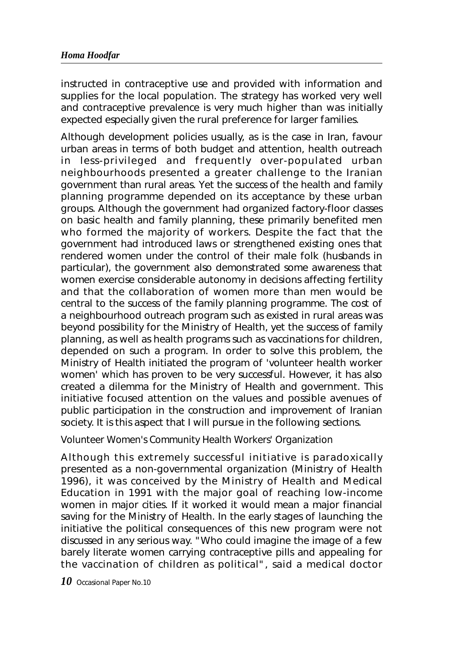instructed in contraceptive use and provided with information and supplies for the local population. The strategy has worked very well and contraceptive prevalence is very much higher than was initially expected especially given the rural preference for larger families.

Although development policies usually, as is the case in Iran, favour urban areas in terms of both budget and attention, health outreach in less-privileged and frequently over-populated urban neighbourhoods presented a greater challenge to the Iranian government than rural areas. Yet the success of the health and family planning programme depended on its acceptance by these urban groups. Although the government had organized factory-floor classes on basic health and family planning, these primarily benefited men who formed the majority of workers. Despite the fact that the government had introduced laws or strengthened existing ones that rendered women under the control of their male folk (husbands in particular), the government also demonstrated some awareness that women exercise considerable autonomy in decisions affecting fertility and that the collaboration of women more than men would be central to the success of the family planning programme. The cost of a neighbourhood outreach program such as existed in rural areas was beyond possibility for the Ministry of Health, yet the success of family planning, as well as health programs such as vaccinations for children, depended on such a program. In order to solve this problem, the Ministry of Health initiated the program of 'volunteer health worker women' which has proven to be very successful. However, it has also created a dilemma for the Ministry of Health and government. This initiative focused attention on the values and possible avenues of public participation in the construction and improvement of Iranian society. It is this aspect that I will pursue in the following sections.

## *Volunteer Women's Community Health Workers' Organization*

Although this extremely successful initiative is paradoxically presented as a non-governmental organization (Ministry of Health 1996), it was conceived by the Ministry of Health and Medical Education in 1991 with the major goal of reaching low-income women in major cities. If it worked it would mean a major financial saving for the Ministry of Health. In the early stages of launching the initiative the political consequences of this new program were not discussed in any serious way. "Who could imagine the image of a few barely literate women carrying contraceptive pills and appealing for the vaccination of children as political", said a medical doctor

*10* Occasional Paper No.10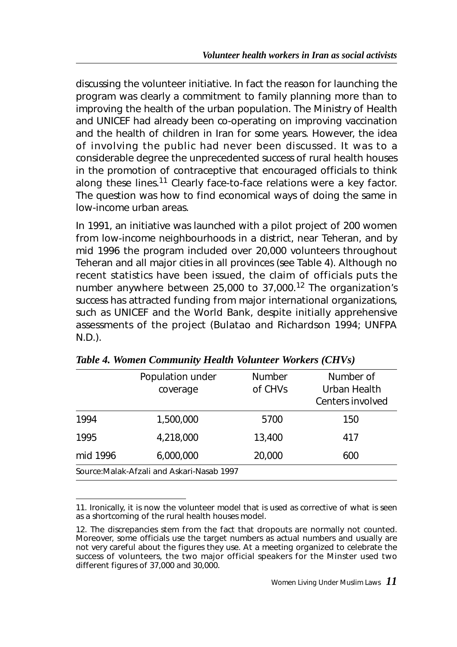discussing the volunteer initiative. In fact the reason for launching the program was clearly a commitment to family planning more than to improving the health of the urban population. The Ministry of Health and UNICEF had already been co-operating on improving vaccination and the health of children in Iran for some years. However, the idea of involving the public had never been discussed. It was to a considerable degree the unprecedented success of rural health houses in the promotion of contraceptive that encouraged officials to think along these lines.<sup>11</sup> Clearly face-to-face relations were a key factor. The question was how to find economical ways of doing the same in low-income urban areas.

In 1991, an initiative was launched with a pilot project of 200 women from low-income neighbourhoods in a district, near Teheran, and by mid 1996 the program included over 20,000 volunteers throughout Teheran and all major cities in all provinces (see Table 4). Although no recent statistics have been issued, the claim of officials puts the number anywhere between 25,000 to 37,000.<sup>12</sup> The organization's success has attracted funding from major international organizations, such as UNICEF and the World Bank, despite initially apprehensive assessments of the project (Bulatao and Richardson 1994; UNFPA N.D.).

|                                            | Population under<br>coverage | Number<br>of CHVs | Number of<br>Urban Health<br>Centers involved |  |
|--------------------------------------------|------------------------------|-------------------|-----------------------------------------------|--|
| 1994                                       | 1,500,000                    | 5700              | 150                                           |  |
| 1995                                       | 4,218,000                    | 13,400            | 417                                           |  |
| mid 1996                                   | 6,000,000                    | 20,000            | 600                                           |  |
| Source: Malak-Afzali and Askari-Nasab 1997 |                              |                   |                                               |  |

*Table 4. Women Community Health Volunteer Workers (CHVs)*

<sup>11.</sup> Ironically, it is now the volunteer model that is used as corrective of what is seen as a shortcoming of the rural health houses model.

<sup>12.</sup> The discrepancies stem from the fact that dropouts are normally not counted. Moreover, some officials use the target numbers as actual numbers and usually are not very careful about the figures they use. At a meeting organized to celebrate the success of volunteers, the two major official speakers for the Minster used two different figures of 37,000 and 30,000.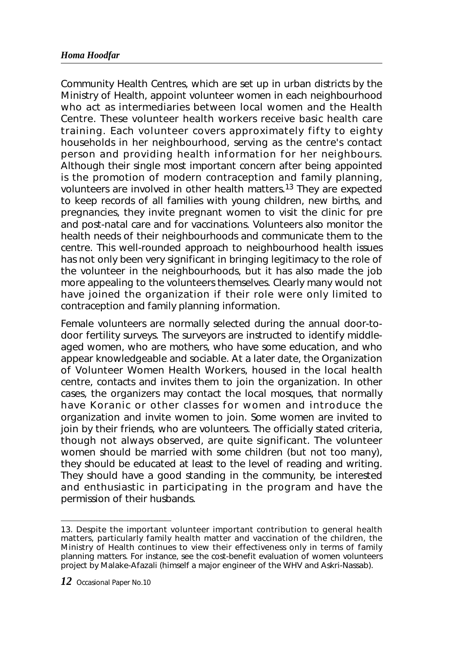Community Health Centres, which are set up in urban districts by the Ministry of Health, appoint volunteer women in each neighbourhood who act as intermediaries between local women and the Health Centre. These volunteer health workers receive basic health care training. Each volunteer covers approximately fifty to eighty households in her neighbourhood, serving as the centre's contact person and providing health information for her neighbours. Although their single most important concern after being appointed is the promotion of modern contraception and family planning, volunteers are involved in other health matters.<sup>13</sup> They are expected to keep records of all families with young children, new births, and pregnancies, they invite pregnant women to visit the clinic for pre and post-natal care and for vaccinations. Volunteers also monitor the health needs of their neighbourhoods and communicate them to the centre. This well-rounded approach to neighbourhood health issues has not only been very significant in bringing legitimacy to the role of the volunteer in the neighbourhoods, but it has also made the job more appealing to the volunteers themselves. Clearly many would not have joined the organization if their role were only limited to contraception and family planning information.

Female volunteers are normally selected during the annual door-todoor fertility surveys. The surveyors are instructed to identify middleaged women, who are mothers, who have some education, and who appear knowledgeable and sociable. At a later date, the Organization of Volunteer Women Health Workers, housed in the local health centre, contacts and invites them to join the organization. In other cases, the organizers may contact the local mosques, that normally have Koranic or other classes for women and introduce the organization and invite women to join. Some women are invited to join by their friends, who are volunteers. The officially stated criteria, though not always observed, are quite significant. The volunteer women should be married with some children (but not too many), they should be educated at least to the level of reading and writing. They should have a good standing in the community, be interested and enthusiastic in participating in the program and have the permission of their husbands.

<sup>13.</sup> Despite the important volunteer important contribution to general health matters, particularly family health matter and vaccination of the children, the Ministry of Health continues to view their effectiveness only in terms of family planning matters. For instance, see the cost-benefit evaluation of women volunteers project by Malake-Afazali (himself a major engineer of the WHV and Askri-Nassab).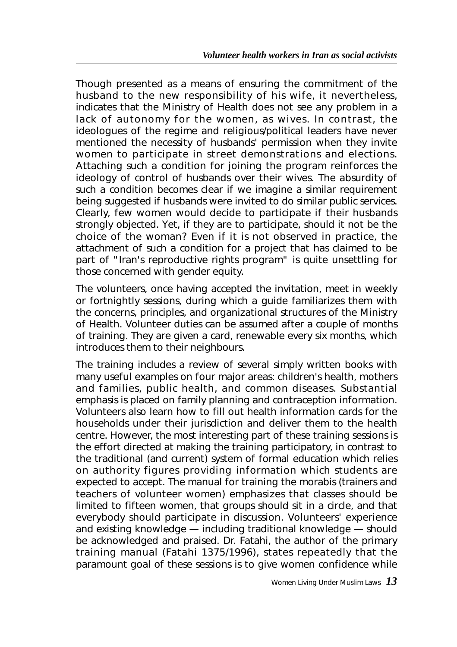Though presented as a means of ensuring the commitment of the husband to the new responsibility of his wife, it nevertheless, indicates that the Ministry of Health does not see any problem in a lack of autonomy for the women, as wives. In contrast, the ideologues of the regime and religious/political leaders have never mentioned the necessity of husbands' permission when they invite women to participate in street demonstrations and elections. Attaching such a condition for joining the program reinforces the ideology of control of husbands over their wives. The absurdity of such a condition becomes clear if we imagine a similar requirement being suggested if husbands were invited to do similar public services. Clearly, few women would decide to participate if their husbands strongly objected. Yet, if they are to participate, should it not be the choice of the woman? Even if it is not observed in practice, the attachment of such a condition for a project that has claimed to be part of "Iran's reproductive rights program" is quite unsettling for those concerned with gender equity.

The volunteers, once having accepted the invitation, meet in weekly or fortnightly sessions, during which a guide familiarizes them with the concerns, principles, and organizational structures of the Ministry of Health. Volunteer duties can be assumed after a couple of months of training. They are given a card, renewable every six months, which introduces them to their neighbours.

The training includes a review of several simply written books with many useful examples on four major areas: children's health, mothers and families, public health, and common diseases. Substantial emphasis is placed on family planning and contraception information. Volunteers also learn how to fill out health information cards for the households under their jurisdiction and deliver them to the health centre. However, the most interesting part of these training sessions is the effort directed at making the training participatory, in contrast to the traditional (and current) system of formal education which relies on authority figures providing information which students are expected to accept. The manual for training the *morabis* (trainers and teachers of volunteer women) emphasizes that classes should be limited to fifteen women, that groups should sit in a circle, and that everybody should participate in discussion. Volunteers' experience and existing knowledge — including traditional knowledge — should be acknowledged and praised. Dr. Fatahi, the author of the primary training manual (Fatahi 1375/1996), states repeatedly that the paramount goal of these sessions is to give women confidence while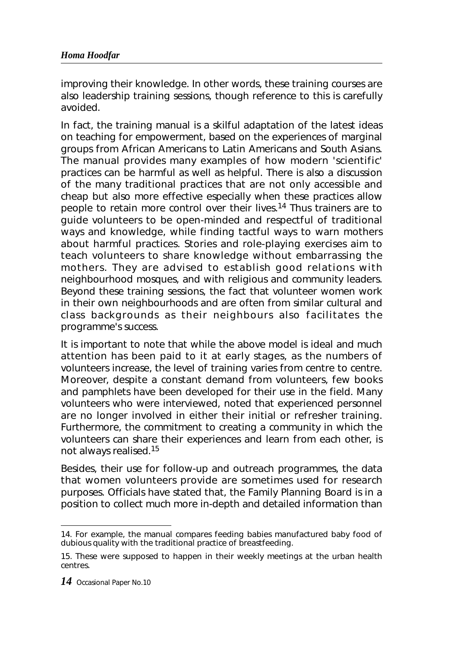improving their knowledge. In other words, these training courses are also leadership training sessions, though reference to this is carefully avoided.

In fact, the training manual is a skilful adaptation of the latest ideas on teaching for empowerment, based on the experiences of marginal groups from African Americans to Latin Americans and South Asians. The manual provides many examples of how modern 'scientific' practices can be harmful as well as helpful. There is also a discussion of the many traditional practices that are not only accessible and cheap but also more effective especially when these practices allow people to retain more control over their lives.<sup>14</sup> Thus trainers are to guide volunteers to be open-minded and respectful of traditional ways and knowledge, while finding tactful ways to warn mothers about harmful practices. Stories and role-playing exercises aim to teach volunteers to share knowledge without embarrassing the mothers. They are advised to establish good relations with neighbourhood mosques, and with religious and community leaders. Beyond these training sessions, the fact that volunteer women work in their own neighbourhoods and are often from similar cultural and class backgrounds as their neighbours also facilitates the programme's success.

It is important to note that while the above model is ideal and much attention has been paid to it at early stages, as the numbers of volunteers increase, the level of training varies from centre to centre. Moreover, despite a constant demand from volunteers, few books and pamphlets have been developed for their use in the field. Many volunteers who were interviewed, noted that experienced personnel are no longer involved in either their initial or refresher training. Furthermore, the commitment to creating a community in which the volunteers can share their experiences and learn from each other, is not always realised.15

Besides, their use for follow-up and outreach programmes, the data that women volunteers provide are sometimes used for research purposes. Officials have stated that, the Family Planning Board is in a position to collect much more in-depth and detailed information than

<sup>14.</sup> For example, the manual compares feeding babies manufactured baby food of dubious quality with the traditional practice of breastfeeding.

<sup>15.</sup> These were supposed to happen in their weekly meetings at the urban health centres.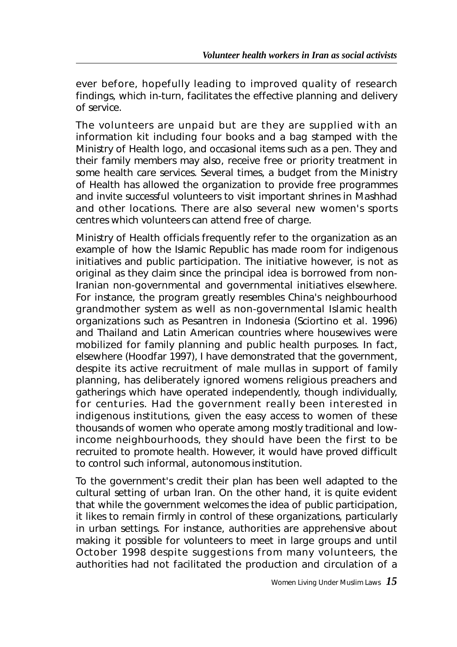ever before, hopefully leading to improved quality of research findings, which in-turn, facilitates the effective planning and delivery of service.

The volunteers are unpaid but are they are supplied with an information kit including four books and a bag stamped with the Ministry of Health logo, and occasional items such as a pen. They and their family members may also, receive free or priority treatment in some health care services. Several times, a budget from the Ministry of Health has allowed the organization to provide free programmes and invite successful volunteers to visit important shrines in Mashhad and other locations. There are also several new women's sports centres which volunteers can attend free of charge.

Ministry of Health officials frequently refer to the organization as an example of how the Islamic Republic has made room for indigenous initiatives and public participation. The initiative however, is not as original as they claim since the principal idea is borrowed from non-Iranian non-governmental and governmental initiatives elsewhere. For instance, the program greatly resembles China's neighbourhood grandmother system as well as non-governmental Islamic health organizations such as Pesantren in Indonesia (Sciortino et al. 1996) and Thailand and Latin American countries where housewives were mobilized for family planning and public health purposes. In fact, elsewhere (Hoodfar 1997), I have demonstrated that the government, despite its active recruitment of male mullas in support of family planning, has deliberately ignored womens religious preachers and gatherings which have operated independently, though individually, for centuries. Had the government really been interested in indigenous institutions, given the easy access to women of these thousands of women who operate among mostly traditional and lowincome neighbourhoods, they should have been the first to be recruited to promote health. However, it would have proved difficult to control such informal, autonomous institution.

To the government's credit their plan has been well adapted to the cultural setting of urban Iran. On the other hand, it is quite evident that while the government welcomes the idea of public participation, it likes to remain firmly in control of these organizations, particularly in urban settings. For instance, authorities are apprehensive about making it possible for volunteers to meet in large groups and until October 1998 despite suggestions from many volunteers, the authorities had not facilitated the production and circulation of a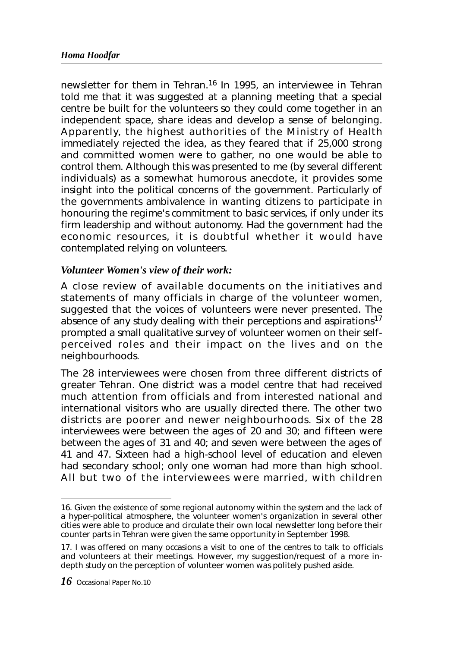newsletter for them in Tehran.<sup>16</sup> In 1995, an interviewee in Tehran told me that it was suggested at a planning meeting that a special centre be built for the volunteers so they could come together in an independent space, share ideas and develop a sense of belonging. Apparently, the highest authorities of the Ministry of Health immediately rejected the idea, as they feared that if 25,000 strong and committed women were to gather, no one would be able to control them. Although this was presented to me (by several different individuals) as a somewhat humorous anecdote, it provides some insight into the political concerns of the government. Particularly of the governments ambivalence in wanting citizens to participate in honouring the regime's commitment to basic services, if only under its firm leadership and without autonomy. Had the government had the economic resources, it is doubtful whether it would have contemplated relying on volunteers.

### *Volunteer Women's view of their work:*

A close review of available documents on the initiatives and statements of many officials in charge of the volunteer women, suggested that the voices of volunteers were never presented. The absence of any study dealing with their perceptions and aspirations<sup>17</sup> prompted a small qualitative survey of volunteer women on their selfperceived roles and their impact on the lives and on the neighbourhoods.

The 28 interviewees were chosen from three different districts of greater Tehran. One district was a model centre that had received much attention from officials and from interested national and international visitors who are usually directed there. The other two districts are poorer and newer neighbourhoods. Six of the 28 interviewees were between the ages of 20 and 30; and fifteen were between the ages of 31 and 40; and seven were between the ages of 41 and 47. Sixteen had a high-school level of education and eleven had secondary school; only one woman had more than high school. All but two of the interviewees were married, with children

<sup>16.</sup> Given the existence of some regional autonomy within the system and the lack of a hyper-political atmosphere, the volunteer women's organization in several other cities were able to produce and circulate their own local newsletter long before their counter parts in Tehran were given the same opportunity in September 1998.

<sup>17.</sup> I was offered on many occasions a visit to one of the centres to talk to officials and volunteers at their meetings. However, my suggestion/request of a more indepth study on the perception of volunteer women was politely pushed aside.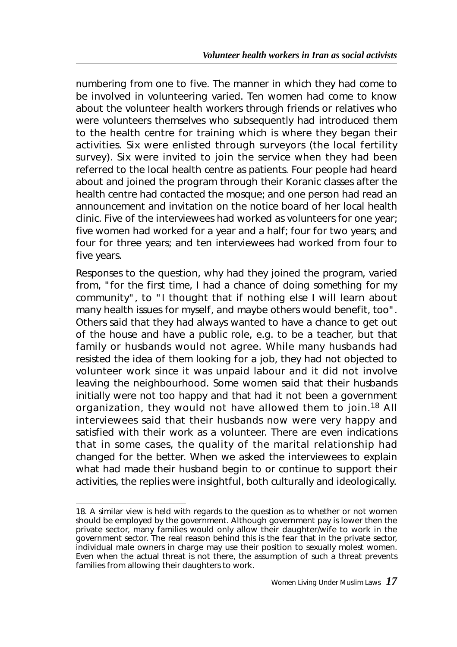numbering from one to five. The manner in which they had come to be involved in volunteering varied. Ten women had come to know about the volunteer health workers through friends or relatives who were volunteers themselves who subsequently had introduced them to the health centre for training which is where they began their activities. Six were enlisted through surveyors (the local fertility survey). Six were invited to join the service when they had been referred to the local health centre as patients. Four people had heard about and joined the program through their Koranic classes after the health centre had contacted the mosque; and one person had read an announcement and invitation on the notice board of her local health clinic. Five of the interviewees had worked as volunteers for one year; five women had worked for a year and a half; four for two years; and four for three years; and ten interviewees had worked from four to five years.

Responses to the question, why had they joined the program, varied from, "for the first time, I had a chance of doing something for my community", to "I thought that if nothing else I will learn about many health issues for myself, and maybe others would benefit, too". Others said that they had always wanted to have a chance to get out of the house and have a public role, e.g. to be a teacher, but that family or husbands would not agree. While many husbands had resisted the idea of them looking for a job, they had not objected to volunteer work since it was unpaid labour and it did not involve leaving the neighbourhood. Some women said that their husbands initially were not too happy and that had it not been a government organization, they would not have allowed them to join.<sup>18</sup> All interviewees said that their husbands now were very happy and satisfied with their work as a volunteer. There are even indications that in some cases, the quality of the marital relationship had changed for the better. When we asked the interviewees to explain what had made their husband begin to or continue to support their activities, the replies were insightful, both culturally and ideologically.

<sup>18.</sup> A similar view is held with regards to the question as to whether or not women should be employed by the government. Although government pay is lower then the private sector, many families would only allow their daughter/wife to work in the government sector. The real reason behind this is the fear that in the private sector, individual male owners in charge may use their position to sexually molest women. Even when the actual threat is not there, the assumption of such a threat prevents families from allowing their daughters to work.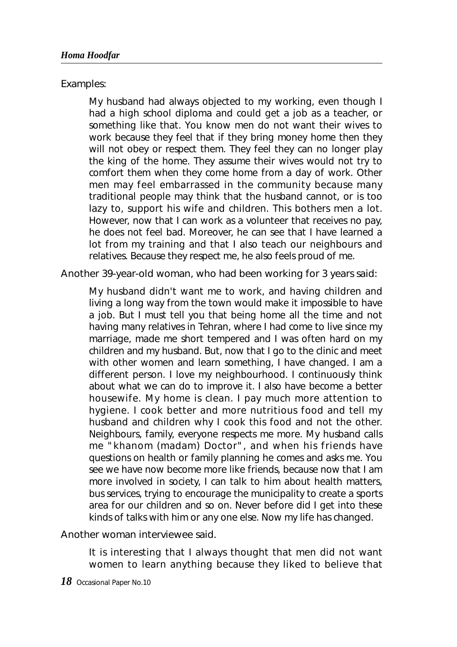Examples:

My husband had always objected to my working, even though I had a high school diploma and could get a job as a teacher, or something like that. You know men do not want their wives to work because they feel that if they bring money home then they will not obey or respect them. They feel they can no longer play the king of the home. They assume their wives would not try to comfort them when they come home from a day of work. Other men may feel embarrassed in the community because many traditional people may think that the husband cannot, or is too lazy to, support his wife and children. This bothers men a lot. However, now that I can work as a volunteer that receives no pay, he does not feel bad. Moreover, he can see that I have learned a lot from my training and that I also teach our neighbours and relatives. Because they respect me, he also feels proud of me.

Another 39-year-old woman, who had been working for 3 years said:

My husband didn't want me to work, and having children and living a long way from the town would make it impossible to have a job. But I must tell you that being home all the time and not having many relatives in Tehran, where I had come to live since my marriage, made me short tempered and I was often hard on my children and my husband. But, now that I go to the clinic and meet with other women and learn something, I have changed. I am a different person. I love my neighbourhood. I continuously think about what we can do to improve it. I also have become a better housewife. My home is clean. I pay much more attention to hygiene. I cook better and more nutritious food and tell my husband and children why I cook this food and not the other. Neighbours, family, everyone respects me more. My husband calls me "khanom (madam) Doctor", and when his friends have questions on health or family planning he comes and asks me. You see we have now become more like friends, because now that I am more involved in society, I can talk to him about health matters, bus services, trying to encourage the municipality to create a sports area for our children and so on. Never before did I get into these kinds of talks with him or any one else. Now my life has changed.

Another woman interviewee said.

It is interesting that I always thought that men did not want women to learn anything because they liked to believe that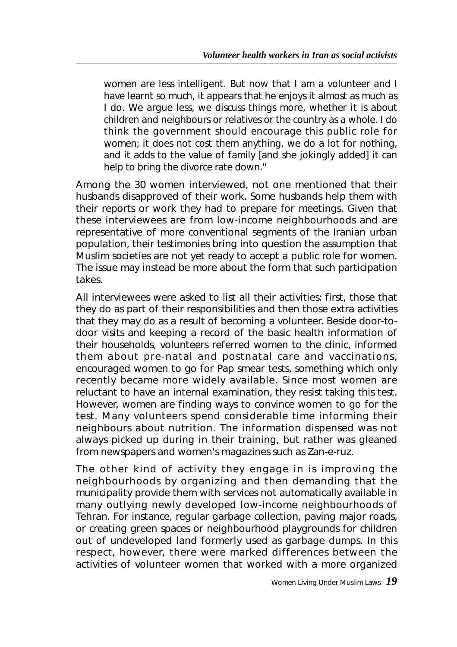women are less intelligent. But now that I am a volunteer and I have learnt so much, it appears that he enjoys it almost as much as I do. We argue less, we discuss things more, whether it is about children and neighbours or relatives or the country as a whole. I do think the government should encourage this public role for women; it does not cost them anything, we do a lot for nothing, and it adds to the value of family [and she jokingly added] it can help to bring the divorce rate down."

Among the 30 women interviewed, not one mentioned that their husbands disapproved of their work. Some husbands help them with their reports or work they had to prepare for meetings. Given that these interviewees are from low-income neighbourhoods and are representative of more conventional segments of the Iranian urban population, their testimonies bring into question the assumption that Muslim societies are not yet ready to accept a public role for women. The issue may instead be more about the form that such participation takes.

All interviewees were asked to list all their activities: first, those that they do as part of their responsibilities and then those extra activities that they may do as a result of becoming a volunteer. Beside door-todoor visits and keeping a record of the basic health information of their households, volunteers referred women to the clinic, informed them about pre-natal and postnatal care and vaccinations, encouraged women to go for Pap smear tests, something which only recently became more widely available. Since most women are reluctant to have an internal examination, they resist taking this test. However, women are finding ways to convince women to go for the test. Many volunteers spend considerable time informing their neighbours about nutrition. The information dispensed was not always picked up during in their training, but rather was gleaned from newspapers and women's magazines such as *Zan-e-ruz.*

The other kind of activity they engage in is improving the neighbourhoods by organizing and then demanding that the municipality provide them with services not automatically available in many outlying newly developed low-income neighbourhoods of Tehran. For instance, regular garbage collection, paving major roads, or creating green spaces or neighbourhood playgrounds for children out of undeveloped land formerly used as garbage dumps. In this respect, however, there were marked differences between the activities of volunteer women that worked with a more organized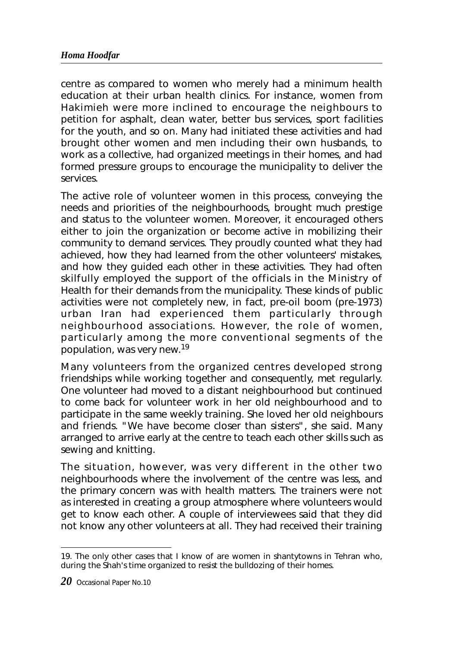centre as compared to women who merely had a minimum health education at their urban health clinics. For instance, women from Hakimieh were more inclined to encourage the neighbours to petition for asphalt, clean water, better bus services, sport facilities for the youth, and so on. Many had initiated these activities and had brought other women and men including their own husbands, to work as a collective, had organized meetings in their homes, and had formed pressure groups to encourage the municipality to deliver the services.

The active role of volunteer women in this process, conveying the needs and priorities of the neighbourhoods, brought much prestige and status to the volunteer women. Moreover, it encouraged others either to join the organization or become active in mobilizing their community to demand services. They proudly counted what they had achieved, how they had learned from the other volunteers' mistakes, and how they guided each other in these activities. They had often skilfully employed the support of the officials in the Ministry of Health for their demands from the municipality. These kinds of public activities were not completely new, in fact, pre-oil boom (pre-1973) urban Iran had experienced them particularly through neighbourhood associations. However, the role of women, particularly among the more conventional segments of the population, was very new.19

Many volunteers from the organized centres developed strong friendships while working together and consequently, met regularly. One volunteer had moved to a distant neighbourhood but continued to come back for volunteer work in her old neighbourhood and to participate in the same weekly training. She loved her old neighbours and friends. "We have become closer than sisters", she said. Many arranged to arrive early at the centre to teach each other skills such as sewing and knitting.

The situation, however, was very different in the other two neighbourhoods where the involvement of the centre was less, and the primary concern was with health matters. The trainers were not as interested in creating a group atmosphere where volunteers would get to know each other. A couple of interviewees said that they did not know any other volunteers at all. They had received their training

<sup>19.</sup> The only other cases that I know of are women in shantytowns in Tehran who, during the Shah's time organized to resist the bulldozing of their homes.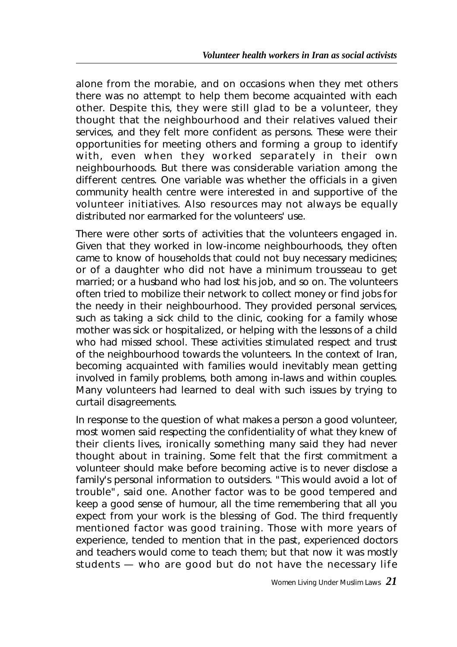alone from the *morabie*, and on occasions when they met others there was no attempt to help them become acquainted with each other. Despite this, they were still glad to be a volunteer, they thought that the neighbourhood and their relatives valued their services, and they felt more confident as persons. These were their opportunities for meeting others and forming a group to identify with, even when they worked separately in their own neighbourhoods. But there was considerable variation among the different centres. One variable was whether the officials in a given community health centre were interested in and supportive of the volunteer initiatives. Also resources may not always be equally distributed nor earmarked for the volunteers' use.

There were other sorts of activities that the volunteers engaged in. Given that they worked in low-income neighbourhoods, they often came to know of households that could not buy necessary medicines; or of a daughter who did not have a minimum trousseau to get married; or a husband who had lost his job, and so on. The volunteers often tried to mobilize their network to collect money or find jobs for the needy in their neighbourhood. They provided personal services, such as taking a sick child to the clinic, cooking for a family whose mother was sick or hospitalized, or helping with the lessons of a child who had missed school. These activities stimulated respect and trust of the neighbourhood towards the volunteers. In the context of Iran, becoming acquainted with families would inevitably mean getting involved in family problems, both among in-laws and within couples. Many volunteers had learned to deal with such issues by trying to curtail disagreements.

In response to the question of what makes a person a good volunteer, most women said respecting the confidentiality of what they knew of their clients lives, ironically something many said they had never thought about in training. Some felt that the first commitment a volunteer should make before becoming active is to never disclose a family's personal information to outsiders. "This would avoid a lot of trouble", said one. Another factor was to be good tempered and keep a good sense of humour, all the time remembering that all you expect from your work is the blessing of God. The third frequently mentioned factor was good training. Those with more years of experience, tended to mention that in the past, experienced doctors and teachers would come to teach them; but that now it was mostly students — who are good but do not have the necessary life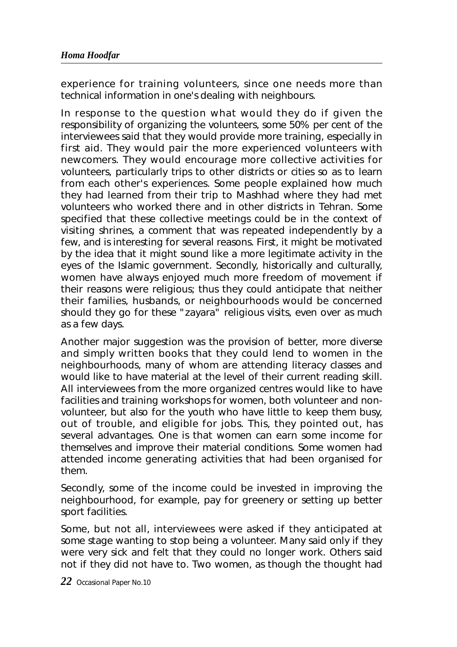experience for training volunteers, since one needs more than technical information in one's dealing with neighbours.

In response to the question what would they do if given the responsibility of organizing the volunteers, some 50% per cent of the interviewees said that they would provide more training, especially in first aid. They would pair the more experienced volunteers with newcomers. They would encourage more collective activities for volunteers, particularly trips to other districts or cities so as to learn from each other's experiences. Some people explained how much they had learned from their trip to Mashhad where they had met volunteers who worked there and in other districts in Tehran. Some specified that these collective meetings could be in the context of visiting shrines, a comment that was repeated independently by a few, and is interesting for several reasons. First, it might be motivated by the idea that it might sound like a more legitimate activity in the eyes of the Islamic government. Secondly, historically and culturally, women have always enjoyed much more freedom of movement if their reasons were religious; thus they could anticipate that neither their families, husbands, or neighbourhoods would be concerned should they go for these "zayara" religious visits, even over as much as a few days.

Another major suggestion was the provision of better, more diverse and simply written books that they could lend to women in the neighbourhoods, many of whom are attending literacy classes and would like to have material at the level of their current reading skill. All interviewees from the more organized centres would like to have facilities and training workshops for women, both volunteer and nonvolunteer, but also for the youth who have little to keep them busy, out of trouble, and eligible for jobs. This, they pointed out, has several advantages. One is that women can earn some income for themselves and improve their material conditions. Some women had attended income generating activities that had been organised for them.

Secondly, some of the income could be invested in improving the neighbourhood, for example, pay for greenery or setting up better sport facilities.

Some, but not all, interviewees were asked if they anticipated at some stage wanting to stop being a volunteer. Many said only if they were very sick and felt that they could no longer work. Others said not if they did not have to. Two women, as though the thought had

*22* Occasional Paper No.10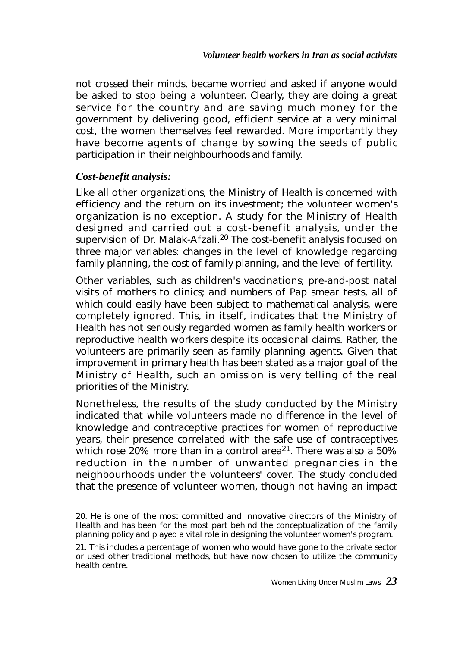not crossed their minds, became worried and asked if anyone would be asked to stop being a volunteer. Clearly, they are doing a great service for the country and are saving much money for the government by delivering good, efficient service at a very minimal cost, the women themselves feel rewarded. More importantly they have become agents of change by sowing the seeds of public participation in their neighbourhoods and family.

### *Cost-benefit analysis:*

Like all other organizations, the Ministry of Health is concerned with efficiency and the return on its investment; the volunteer women's organization is no exception. A study for the Ministry of Health designed and carried out a cost-benefit analysis, under the supervision of Dr. Malak-Afzali.<sup>20</sup> The cost-benefit analysis focused on three major variables: changes in the level of knowledge regarding family planning, the cost of family planning, and the level of fertility.

Other variables, such as children's vaccinations; pre-and-post natal visits of mothers to clinics; and numbers of Pap smear tests, all of which could easily have been subject to mathematical analysis, were completely ignored. This, in itself, indicates that the Ministry of Health has not seriously regarded women as family health workers or reproductive health workers despite its occasional claims. Rather, the volunteers are primarily seen as family planning agents. Given that improvement in primary health has been stated as a major goal of the Ministry of Health, such an omission is very telling of the real priorities of the Ministry.

Nonetheless, the results of the study conducted by the Ministry indicated that while volunteers made no difference in the level of knowledge and contraceptive practices for women of reproductive years, their presence correlated with the safe use of contraceptives which rose 20% more than in a control area<sup>21</sup>. There was also a 50% reduction in the number of unwanted pregnancies in the neighbourhoods under the volunteers' cover. The study concluded that the presence of volunteer women, though not having an impact

<sup>20.</sup> He is one of the most committed and innovative directors of the Ministry of Health and has been for the most part behind the conceptualization of the family planning policy and played a vital role in designing the volunteer women's program.

<sup>21.</sup> This includes a percentage of women who would have gone to the private sector or used other traditional methods, but have now chosen to utilize the community health centre.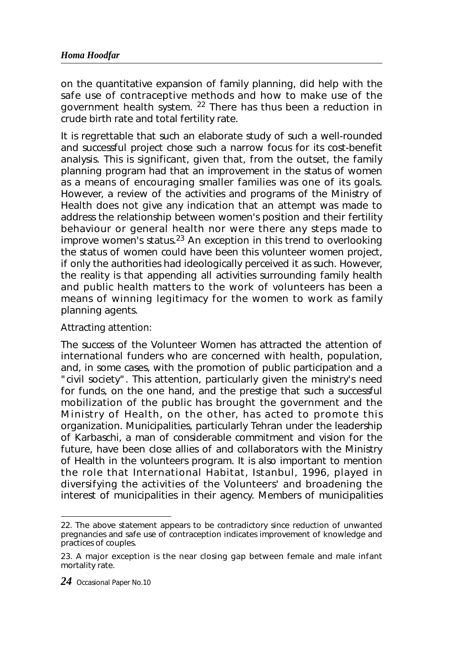on the quantitative expansion of family planning, did help with the safe use of contraceptive methods and how to make use of the government health system. <sup>22</sup> There has thus been a reduction in crude birth rate and total fertility rate.

It is regrettable that such an elaborate study of such a well-rounded and successful project chose such a narrow focus for its cost-benefit analysis. This is significant, given that, from the outset, the family planning program had that an improvement in the status of women as a means of encouraging smaller families was one of its goals. However, a review of the activities and programs of the Ministry of Health does not give any indication that an attempt was made to address the relationship between women's position and their fertility behaviour or general health nor were there any steps made to improve women's status.23 An exception in this trend to overlooking the status of women could have been this volunteer women project, if only the authorities had ideologically perceived it as such. However, the reality is that appending all activities surrounding family health and public health matters to the work of volunteers has been a means of winning legitimacy for the women to work as family planning agents.

#### Attracting attention:

The success of the Volunteer Women has attracted the attention of international funders who are concerned with health, population, and, in some cases, with the promotion of public participation and a "civil society". This attention, particularly given the ministry's need for funds, on the one hand, and the prestige that such a successful mobilization of the public has brought the government and the Ministry of Health, on the other, has acted to promote this organization. Municipalities, particularly Tehran under the leadership of Karbaschi, a man of considerable commitment and vision for the future, have been close allies of and collaborators with the Ministry of Health in the volunteers program. It is also important to mention the role that International Habitat, Istanbul, 1996, played in diversifying the activities of the Volunteers' and broadening the interest of municipalities in their agency. Members of municipalities

<sup>22.</sup> The above statement appears to be contradictory since reduction of unwanted pregnancies and safe use of contraception indicates improvement of knowledge and practices of couples.

<sup>23.</sup> A major exception is the near closing gap between female and male infant mortality rate.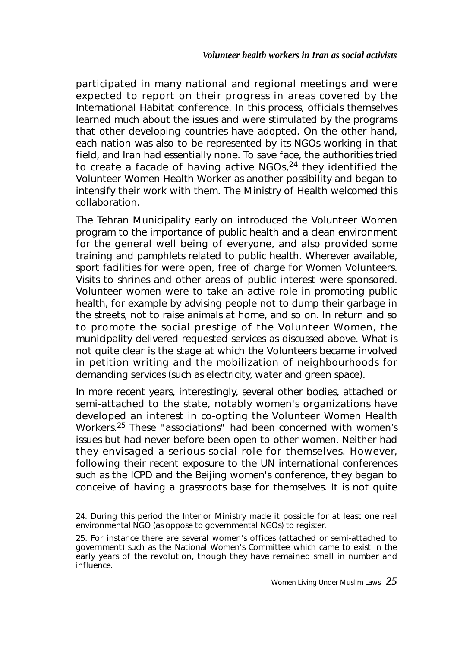participated in many national and regional meetings and were expected to report on their progress in areas covered by the International Habitat conference. In this process, officials themselves learned much about the issues and were stimulated by the programs that other developing countries have adopted. On the other hand, each nation was also to be represented by its NGOs working in that field, and Iran had essentially none. To save face, the authorities tried to create a facade of having active NGOs,<sup>24</sup> they identified the Volunteer Women Health Worker as another possibility and began to intensify their work with them. The Ministry of Health welcomed this collaboration.

The Tehran Municipality early on introduced the Volunteer Women program to the importance of public health and a clean environment for the general well being of everyone, and also provided some training and pamphlets related to public health. Wherever available, sport facilities for were open, free of charge for Women Volunteers. Visits to shrines and other areas of public interest were sponsored. Volunteer women were to take an active role in promoting public health, for example by advising people not to dump their garbage in the streets, not to raise animals at home, and so on. In return and so to promote the social prestige of the Volunteer Women, the municipality delivered requested services as discussed above. What is not quite clear is the stage at which the Volunteers became involved in petition writing and the mobilization of neighbourhoods for demanding services (such as electricity, water and green space).

In more recent years, interestingly, several other bodies, attached or semi-attached to the state, notably women's organizations have developed an interest in co-opting the Volunteer Women Health Workers.<sup>25</sup> These "associations" had been concerned with women's issues but had never before been open to other women. Neither had they envisaged a serious social role for themselves. However, following their recent exposure to the UN international conferences such as the ICPD and the Beijing women's conference, they began to conceive of having a grassroots base for themselves. It is not quite

<sup>24.</sup> During this period the Interior Ministry made it possible for at least one real environmental NGO (as oppose to governmental NGOs) to register.

<sup>25.</sup> For instance there are several women's offices (attached or semi-attached to government) such as the National Women's Committee which came to exist in the early years of the revolution, though they have remained small in number and influence.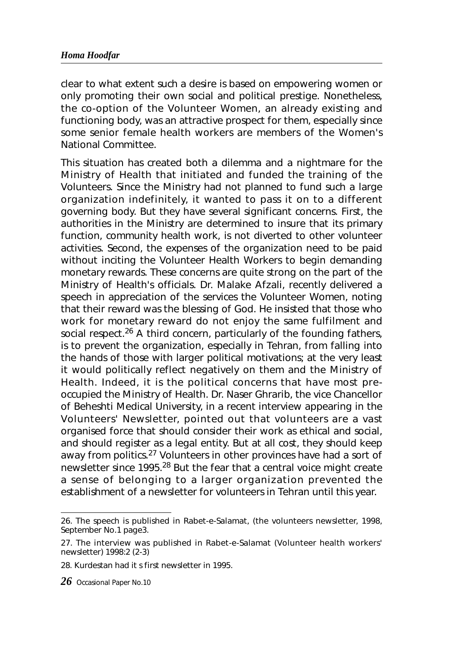#### *Homa Hoodfar*

clear to what extent such a desire is based on empowering women or only promoting their own social and political prestige. Nonetheless, the co-option of the Volunteer Women, an already existing and functioning body, was an attractive prospect for them, especially since some senior female health workers are members of the Women's National Committee.

This situation has created both a dilemma and a nightmare for the Ministry of Health that initiated and funded the training of the Volunteers. Since the Ministry had not planned to fund such a large organization indefinitely, it wanted to pass it on to a different governing body. But they have several significant concerns. First, the authorities in the Ministry are determined to insure that its primary function, community health work, is not diverted to other volunteer activities. Second, the expenses of the organization need to be paid without inciting the Volunteer Health Workers to begin demanding monetary rewards. These concerns are quite strong on the part of the Ministry of Health's officials. Dr. Malake Afzali, recently delivered a speech in appreciation of the services the Volunteer Women, noting that their reward was the blessing of God. He insisted that those who work for monetary reward do not enjoy the same fulfilment and social respect.<sup>26</sup> A third concern, particularly of the founding fathers, is to prevent the organization, especially in Tehran, from falling into the hands of those with larger political motivations; at the very least it would politically reflect negatively on them and the Ministry of Health. Indeed, it is the political concerns that have most preoccupied the Ministry of Health. Dr. Naser Ghrarib, the vice Chancellor of Beheshti Medical University, in a recent interview appearing in the Volunteers' Newsletter, pointed out that volunteers are a vast organised force that should consider their work as ethical and social, and should register as a legal entity. But at all cost, they should keep away from politics.<sup>27</sup> Volunteers in other provinces have had a sort of newsletter since 1995.<sup>28</sup> But the fear that a central voice might create a sense of belonging to a larger organization prevented the establishment of a newsletter for volunteers in Tehran until this year.

<sup>26.</sup> The speech is published in *Rabet-e-Salamat*, (the volunteers newsletter, 1998, September No.1 page3.

<sup>27.</sup> The interview was published in *Rabet-e-Salamat* (Volunteer health workers' newsletter) 1998:2 (2-3)

<sup>28.</sup> Kurdestan had it s first newsletter in 1995.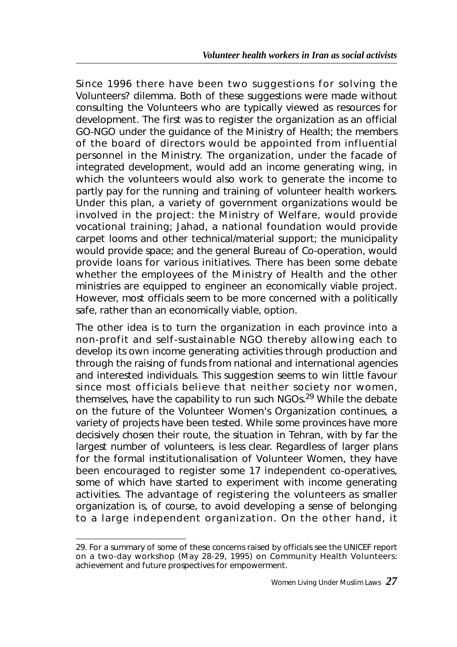Since 1996 there have been two suggestions for solving the Volunteers? dilemma. Both of these suggestions were made without consulting the Volunteers who are typically viewed as resources for development. The first was to register the organization as an official GO-NGO under the guidance of the Ministry of Health; the members of the board of directors would be appointed from influential personnel in the Ministry. The organization, under the facade of integrated development, would add an income generating wing, in which the volunteers would also work to generate the income to partly pay for the running and training of volunteer health workers. Under this plan, a variety of government organizations would be involved in the project: the Ministry of Welfare, would provide vocational training; Jahad, a national foundation would provide carpet looms and other technical/material support; the municipality would provide space; and the general Bureau of Co-operation, would provide loans for various initiatives. There has been some debate whether the employees of the Ministry of Health and the other ministries are equipped to engineer an economically viable project. However, most officials seem to be more concerned with a politically safe, rather than an economically viable, option.

The other idea is to turn the organization in each province into a non-profit and self-sustainable NGO thereby allowing each to develop its own income generating activities through production and through the raising of funds from national and international agencies and interested individuals. This suggestion seems to win little favour since most officials believe that neither society nor women, themselves, have the capability to run such NGOs.<sup>29</sup> While the debate on the future of the Volunteer Women's Organization continues, a variety of projects have been tested. While some provinces have more decisively chosen their route, the situation in Tehran, with by far the largest number of volunteers, is less clear. Regardless of larger plans for the formal institutionalisation of Volunteer Women, they have been encouraged to register some 17 independent co-operatives, some of which have started to experiment with income generating activities. The advantage of registering the volunteers as smaller organization is, of course, to avoid developing a sense of belonging to a large independent organization. On the other hand, it

<sup>29.</sup> For a summary of some of these concerns raised by officials see the UNICEF report on a two-day workshop (May 28-29, 1995) on Community Health Volunteers: achievement and future prospectives for empowerment.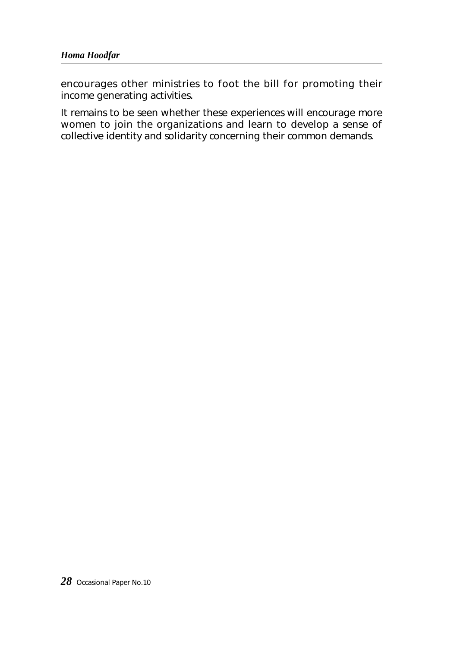encourages other ministries to foot the bill for promoting their income generating activities.

It remains to be seen whether these experiences will encourage more women to join the organizations and learn to develop a sense of collective identity and solidarity concerning their common demands.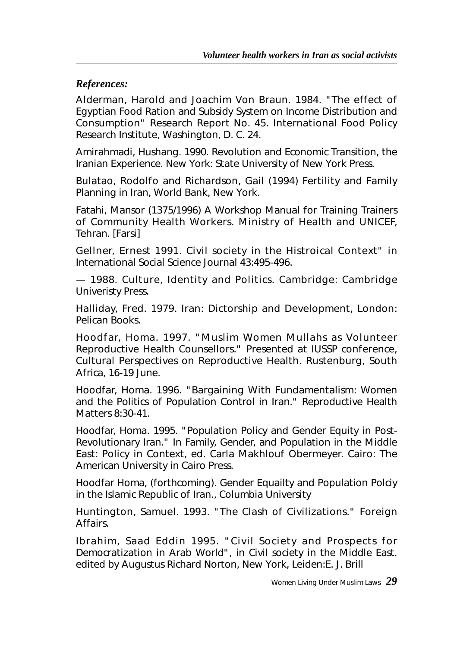### *References:*

Alderman, Harold and Joachim Von Braun. 1984. "The effect of Egyptian Food Ration and Subsidy System on Income Distribution and Consumption" Research Report No. 45. International Food Policy Research Institute, Washington, D. C. 24.

Amirahmadi, Hushang. 1990. *Revolution and Economic Transition, the Iranian Experience*. New York: State University of New York Press.

Bulatao, Rodolfo and Richardson, Gail (1994) *Fertility and Family Planning in Iran*, World Bank, New York.

Fatahi, Mansor (1375/1996) *A Workshop Manual for Training Trainers of Community Health Workers*. Ministry of Health and UNICEF, Tehran. [Farsi]

Gellner, Ernest 1991. Civil society in the Histroical Context" in International Social Science Journal 43:495-496.

— 1988. *Culture, Identity and Politics*. Cambridge: Cambridge Univeristy Press.

Halliday, Fred. 1979. Iran: Dictorship and Development, London: Pelican Books.

Hoodfar, Homa. 1997. "Muslim Women Mullahs as Volunteer Reproductive Health Counsellors." Presented at IUSSP conference, Cultural Perspectives on Reproductive Health. Rustenburg, South Africa, 16-19 June.

Hoodfar, Homa. 1996. "Bargaining With Fundamentalism: Women and the Politics of Population Control in Iran." *Reproductive Health Matters* 8:30-41.

Hoodfar, Homa. 1995. "Population Policy and Gender Equity in Post-Revolutionary Iran." In Family, Gender, and Population in the *Middle East: Policy in Context*, ed. Carla Makhlouf Obermeyer. Cairo: The American University in Cairo Press.

Hoodfar Homa, (forthcoming). *Gender Equailty and Population Polciy in the Islamic Republic of Iran*., Columbia University

Huntington, Samuel. 1993. "The Clash of Civilizations." *Foreign Affairs*.

Ibrahim, Saad Eddin 1995. "Civil Society and Prospects for Democratization in Arab World", in *Civil society in the Middle East*. edited by Augustus Richard Norton, New York, Leiden:E. J. Brill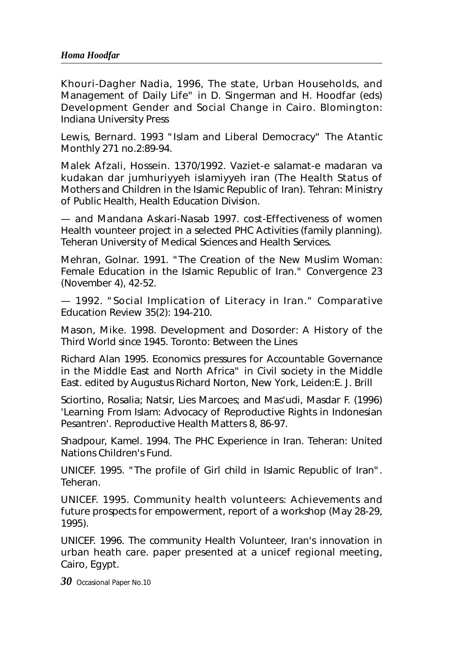Khouri-Dagher Nadia, 1996, The state, Urban Households, and Management of Daily Life" in D. Singerman and H. Hoodfar (eds) Development Gender and Social Change in Cairo. Blomington: Indiana University Press

Lewis, Bernard. 1993 "Islam and Liberal Democracy" The Atantic Monthly 271 no.2:89-94.

Malek Afzali, Hossein. 1370/1992. *Vaziet-e salamat-e madaran va kudakan dar jumhuriyyeh islamiyyeh iran* (The Health Status of Mothers and Children in the Islamic Republic of Iran). Tehran: Ministry of Public Health, Health Education Division.

— and Mandana Askari-Nasab 1997. cost-Effectiveness of women Health vounteer project in a selected PHC Activities (family planning). Teheran University of Medical Sciences and Health Services.

Mehran, Golnar. 1991. "The Creation of the New Muslim Woman: Female Education in the Islamic Republic of Iran." *Convergence* 23 (November 4), 42-52.

— 1992. "Social Implication of Literacy in Iran." *Comparative Education Review* 35(2): 194-210.

Mason, Mike. 1998. *Development and Dosorder: A History of the Third World since 1945*. Toronto: Between the Lines

Richard Alan 1995. Economics pressures for Accountable Governance in the Middle East and North Africa" in *Civil society in the Middle East*. edited by Augustus Richard Norton, New York, Leiden:E. J. Brill

Sciortino, Rosalia; Natsir, Lies Marcoes; and Mas'udi, Masdar F. (1996) 'Learning From Islam: Advocacy of Reproductive Rights in Indonesian Pesantren'. *Reproductive Health Matters* 8, 86-97.

Shadpour, Kamel. 1994. *The PHC Experience in Iran*. Teheran: United Nations Children's Fund.

UNICEF. 1995. "The profile of Girl child in Islamic Republic of Iran". Teheran.

UNICEF. 1995. Community health volunteers: Achievements and future prospects for empowerment, report of a workshop (May 28-29, 1995).

UNICEF. 1996. The community Health Volunteer, Iran's innovation in urban heath care. paper presented at a unicef regional meeting, Cairo, Egypt.

*30* Occasional Paper No.10